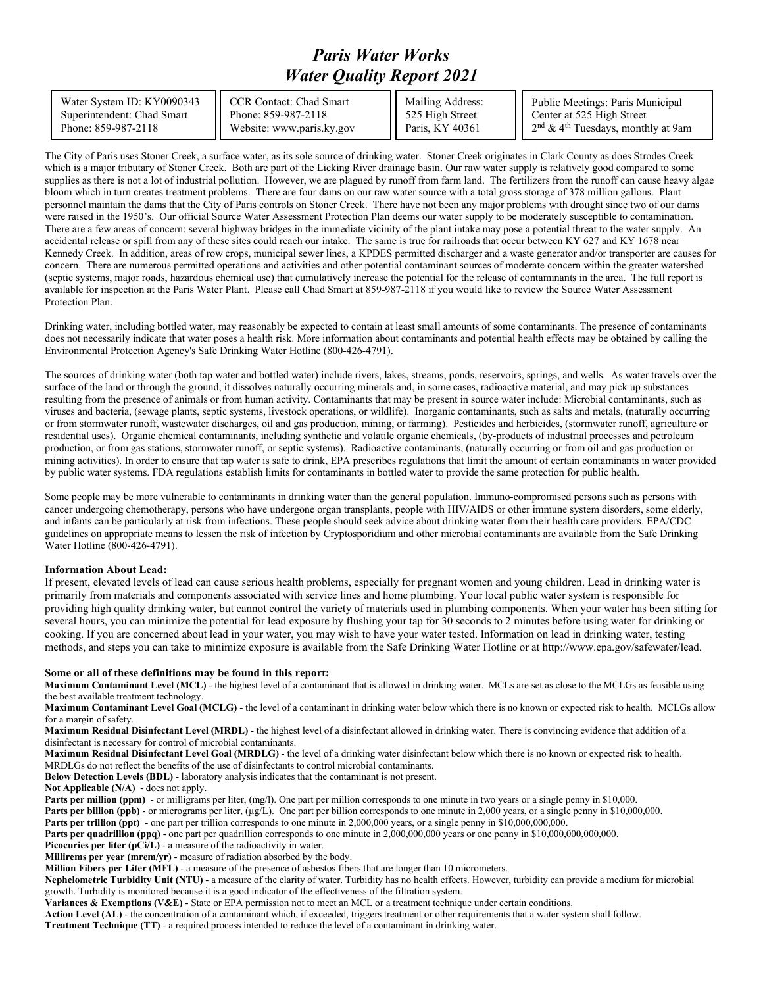## *Paris Water Works Water Quality Report 2021*

Water System ID: KY0090343 Superintendent: Chad Smart Phone: 859-987-2118

CCR Contact: Chad Smart Phone: 859-987-2118 Website: www.paris.ky.gov Mailing Address: 525 High Street Paris, KY 40361

Public Meetings: Paris Municipal Center at 525 High Street 2nd & 4th Tuesdays, monthly at 9am

The City of Paris uses Stoner Creek, a surface water, as its sole source of drinking water. Stoner Creek originates in Clark County as does Strodes Creek which is a major tributary of Stoner Creek. Both are part of the Licking River drainage basin. Our raw water supply is relatively good compared to some supplies as there is not a lot of industrial pollution. However, we are plagued by runoff from farm land. The fertilizers from the runoff can cause heavy algae bloom which in turn creates treatment problems. There are four dams on our raw water source with a total gross storage of 378 million gallons. Plant personnel maintain the dams that the City of Paris controls on Stoner Creek. There have not been any major problems with drought since two of our dams were raised in the 1950's. Our official Source Water Assessment Protection Plan deems our water supply to be moderately susceptible to contamination. There are a few areas of concern: several highway bridges in the immediate vicinity of the plant intake may pose a potential threat to the water supply. An accidental release or spill from any of these sites could reach our intake. The same is true for railroads that occur between KY 627 and KY 1678 near Kennedy Creek. In addition, areas of row crops, municipal sewer lines, a KPDES permitted discharger and a waste generator and/or transporter are causes for concern. There are numerous permitted operations and activities and other potential contaminant sources of moderate concern within the greater watershed (septic systems, major roads, hazardous chemical use) that cumulatively increase the potential for the release of contaminants in the area. The full report is available for inspection at the Paris Water Plant. Please call Chad Smart at 859-987-2118 if you would like to review the Source Water Assessment Protection Plan.

Drinking water, including bottled water, may reasonably be expected to contain at least small amounts of some contaminants. The presence of contaminants does not necessarily indicate that water poses a health risk. More information about contaminants and potential health effects may be obtained by calling the Environmental Protection Agency's Safe Drinking Water Hotline (800-426-4791).

The sources of drinking water (both tap water and bottled water) include rivers, lakes, streams, ponds, reservoirs, springs, and wells. As water travels over the surface of the land or through the ground, it dissolves naturally occurring minerals and, in some cases, radioactive material, and may pick up substances resulting from the presence of animals or from human activity. Contaminants that may be present in source water include: Microbial contaminants, such as viruses and bacteria, (sewage plants, septic systems, livestock operations, or wildlife). Inorganic contaminants, such as salts and metals, (naturally occurring or from stormwater runoff, wastewater discharges, oil and gas production, mining, or farming). Pesticides and herbicides, (stormwater runoff, agriculture or residential uses). Organic chemical contaminants, including synthetic and volatile organic chemicals, (by-products of industrial processes and petroleum production, or from gas stations, stormwater runoff, or septic systems). Radioactive contaminants, (naturally occurring or from oil and gas production or mining activities). In order to ensure that tap water is safe to drink, EPA prescribes regulations that limit the amount of certain contaminants in water provided by public water systems. FDA regulations establish limits for contaminants in bottled water to provide the same protection for public health.

Some people may be more vulnerable to contaminants in drinking water than the general population. Immuno-compromised persons such as persons with cancer undergoing chemotherapy, persons who have undergone organ transplants, people with HIV/AIDS or other immune system disorders, some elderly, and infants can be particularly at risk from infections. These people should seek advice about drinking water from their health care providers. EPA/CDC guidelines on appropriate means to lessen the risk of infection by Cryptosporidium and other microbial contaminants are available from the Safe Drinking Water Hotline (800-426-4791).

## **Information About Lead:**

If present, elevated levels of lead can cause serious health problems, especially for pregnant women and young children. Lead in drinking water is primarily from materials and components associated with service lines and home plumbing. Your local public water system is responsible for providing high quality drinking water, but cannot control the variety of materials used in plumbing components. When your water has been sitting for several hours, you can minimize the potential for lead exposure by flushing your tap for 30 seconds to 2 minutes before using water for drinking or cooking. If you are concerned about lead in your water, you may wish to have your water tested. Information on lead in drinking water, testing methods, and steps you can take to minimize exposure is available from the Safe Drinking Water Hotline or at http://www.epa.gov/safewater/lead.

## **Some or all of these definitions may be found in this report:**

**Maximum Contaminant Level (MCL)** - the highest level of a contaminant that is allowed in drinking water. MCLs are set as close to the MCLGs as feasible using the best available treatment technology.

**Maximum Contaminant Level Goal (MCLG)** - the level of a contaminant in drinking water below which there is no known or expected risk to health. MCLGs allow for a margin of safety.

**Maximum Residual Disinfectant Level (MRDL)** - the highest level of a disinfectant allowed in drinking water. There is convincing evidence that addition of a disinfectant is necessary for control of microbial contaminants.

**Maximum Residual Disinfectant Level Goal (MRDLG)** - the level of a drinking water disinfectant below which there is no known or expected risk to health. MRDLGs do not reflect the benefits of the use of disinfectants to control microbial contaminants.

**Below Detection Levels (BDL)** - laboratory analysis indicates that the contaminant is not present.

**Not Applicable (N/A)** - does not apply.

**Parts per million (ppm)** - or milligrams per liter, (mg/l). One part per million corresponds to one minute in two years or a single penny in \$10,000.

**Parts per billion (ppb)** - or micrograms per liter, (µg/L). One part per billion corresponds to one minute in 2,000 years, or a single penny in \$10,000,000.

**Parts per trillion (ppt)** - one part per trillion corresponds to one minute in 2,000,000 years, or a single penny in \$10,000,000.000.

**Parts per quadrillion (ppq)** - one part per quadrillion corresponds to one minute in 2,000,000,000 years or one penny in \$10,000,000,000,000.

**Picocuries per liter (pCi/L)** - a measure of the radioactivity in water.

**Millirems per year (mrem/yr)** - measure of radiation absorbed by the body.

**Million Fibers per Liter (MFL)** - a measure of the presence of asbestos fibers that are longer than 10 micrometers.

**Nephelometric Turbidity Unit (NTU)** - a measure of the clarity of water. Turbidity has no health effects. However, turbidity can provide a medium for microbial growth. Turbidity is monitored because it is a good indicator of the effectiveness of the filtration system.

**Variances & Exemptions (V&E)** - State or EPA permission not to meet an MCL or a treatment technique under certain conditions.

**Action Level (AL)** - the concentration of a contaminant which, if exceeded, triggers treatment or other requirements that a water system shall follow.

**Treatment Technique (TT)** - a required process intended to reduce the level of a contaminant in drinking water.